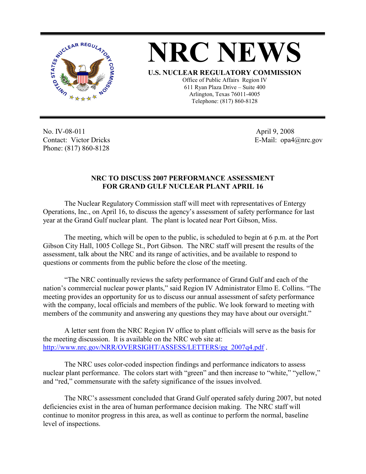

**NRC NEWS U.S. NUCLEAR REGULATORY COMMISSION** Office of Public Affairs Region IV 611 Ryan Plaza Drive – Suite 400 Arlington, Texas 76011-4005

Telephone: (817) 860-8128

No. IV-08-011 Contact: Victor Dricks Phone: (817) 860-8128

 April 9, 2008 E-Mail: opa4@nrc.gov

## **NRC TO DISCUSS 2007 PERFORMANCE ASSESSMENT FOR GRAND GULF NUCLEAR PLANT APRIL 16**

 The Nuclear Regulatory Commission staff will meet with representatives of Entergy Operations, Inc., on April 16, to discuss the agency's assessment of safety performance for last year at the Grand Gulf nuclear plant. The plant is located near Port Gibson, Miss.

 The meeting, which will be open to the public, is scheduled to begin at 6 p.m. at the Port Gibson City Hall, 1005 College St., Port Gibson. The NRC staff will present the results of the assessment, talk about the NRC and its range of activities, and be available to respond to questions or comments from the public before the close of the meeting.

 "The NRC continually reviews the safety performance of Grand Gulf and each of the nation's commercial nuclear power plants," said Region IV Administrator Elmo E. Collins. "The meeting provides an opportunity for us to discuss our annual assessment of safety performance with the company, local officials and members of the public. We look forward to meeting with members of the community and answering any questions they may have about our oversight."

 A letter sent from the NRC Region IV office to plant officials will serve as the basis for the meeting discussion. It is available on the NRC web site at: http://www.nrc.gov/NRR/OVERSIGHT/ASSESS/LETTERS/gg\_2007q4.pdf .

 The NRC uses color-coded inspection findings and performance indicators to assess nuclear plant performance. The colors start with "green" and then increase to "white," "yellow," and "red," commensurate with the safety significance of the issues involved.

 The NRC's assessment concluded that Grand Gulf operated safely during 2007, but noted deficiencies exist in the area of human performance decision making. The NRC staff will continue to monitor progress in this area, as well as continue to perform the normal, baseline level of inspections.